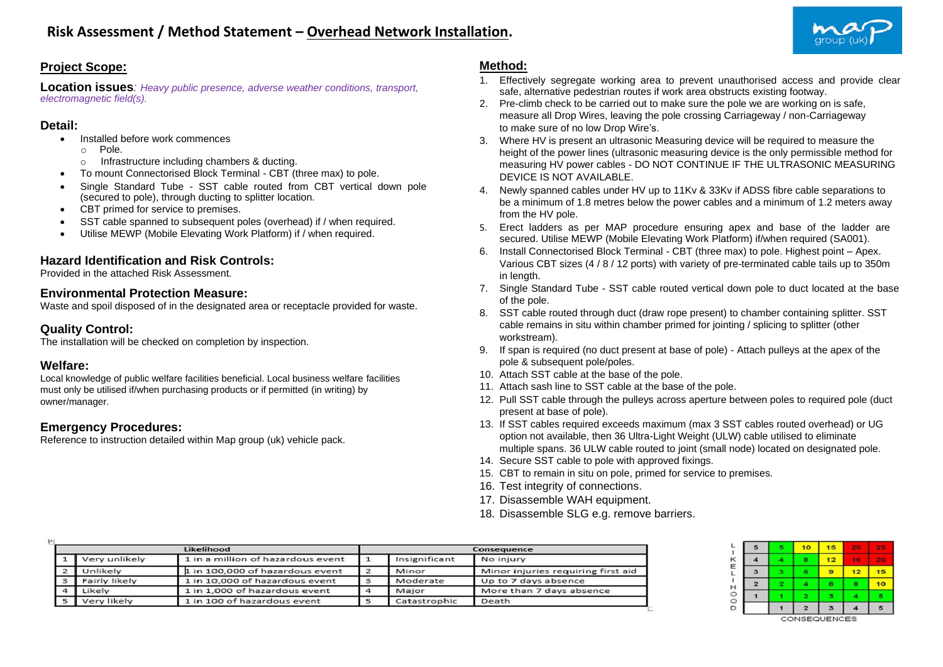

### **Project Scope:**

**Location issues***: Heavy public presence, adverse weather conditions, transport, electromagnetic field(s).*

#### **Detail:**

- Installed before work commences
	- o Pole.
	- o Infrastructure including chambers & ducting.
- To mount Connectorised Block Terminal CBT (three max) to pole.
- Single Standard Tube SST cable routed from CBT vertical down pole (secured to pole), through ducting to splitter location.
- CBT primed for service to premises.
- SST cable spanned to subsequent poles (overhead) if / when required.
- Utilise MEWP (Mobile Elevating Work Platform) if / when required.

## **Hazard Identification and Risk Controls:**

Provided in the attached Risk Assessment.

### **Environmental Protection Measure:**

Waste and spoil disposed of in the designated area or receptacle provided for waste.

# **Quality Control:**

The installation will be checked on completion by inspection.

# **Welfare:**

Local knowledge of public welfare facilities beneficial. Local business welfare facilities must only be utilised if/when purchasing products or if permitted (in writing) by owner/manager.

# **Emergency Procedures:**

Reference to instruction detailed within Map group (uk) vehicle pack.

## **Method:**

- 1. Effectively segregate working area to prevent unauthorised access and provide clear safe, alternative pedestrian routes if work area obstructs existing footway.
- 2. Pre-climb check to be carried out to make sure the pole we are working on is safe, measure all Drop Wires, leaving the pole crossing Carriageway / non-Carriageway to make sure of no low Drop Wire's.
- 3. Where HV is present an ultrasonic Measuring device will be required to measure the height of the power lines (ultrasonic measuring device is the only permissible method for measuring HV power cables - DO NOT CONTINUE IF THE ULTRASONIC MEASURING DEVICE IS NOT AVAILABLE.
- 4. Newly spanned cables under HV up to 11Kv & 33Kv if ADSS fibre cable separations to be a minimum of 1.8 metres below the power cables and a minimum of 1.2 meters away from the HV pole.
- 5. Erect ladders as per MAP procedure ensuring apex and base of the ladder are secured. Utilise MEWP (Mobile Elevating Work Platform) if/when required (SA001).
- 6. Install Connectorised Block Terminal CBT (three max) to pole. Highest point Apex. Various CBT sizes (4 / 8 / 12 ports) with variety of pre-terminated cable tails up to 350m in length.
- 7. Single Standard Tube SST cable routed vertical down pole to duct located at the base of the pole.
- 8. SST cable routed through duct (draw rope present) to chamber containing splitter. SST cable remains in situ within chamber primed for jointing / splicing to splitter (other workstream).
- 9. If span is required (no duct present at base of pole) Attach pulleys at the apex of the pole & subsequent pole/poles.
- 10. Attach SST cable at the base of the pole.
- 11. Attach sash line to SST cable at the base of the pole.
- 12. Pull SST cable through the pulleys across aperture between poles to required pole (duct present at base of pole).
- 13. If SST cables required exceeds maximum (max 3 SST cables routed overhead) or UG option not available, then 36 Ultra-Light Weight (ULW) cable utilised to eliminate multiple spans. 36 ULW cable routed to joint (small node) located on designated pole.
- 14. Secure SST cable to pole with approved fixings.
- 15. CBT to remain in situ on pole, primed for service to premises.
- 16. Test integrity of connections.
- 17. Disassemble WAH equipment.
- 18. Disassemble SLG e.g. remove barriers.

|                |               | Likelihood                        |               | Consequence                        |
|----------------|---------------|-----------------------------------|---------------|------------------------------------|
|                | Very unlikely | 1 in a million of hazardous event | Insignificant | No injury                          |
| $\rightarrow$  | Unlikely      | 1 in 100,000 of hazardous event   | Minor         | Minor injuries requiring first aid |
| $\mathbf{a}$   | Fairly likely | 1 in 10,000 of hazardous event    | Moderate      | Up to 7 days absence               |
|                | Likely        | 1 in 1,000 of hazardous event     | Major         | More than 7 days absence           |
| 5 <sub>1</sub> | Very likely   | 1 in 100 of hazardous event       | Catastrophic  | Death                              |



CONSEQUENCES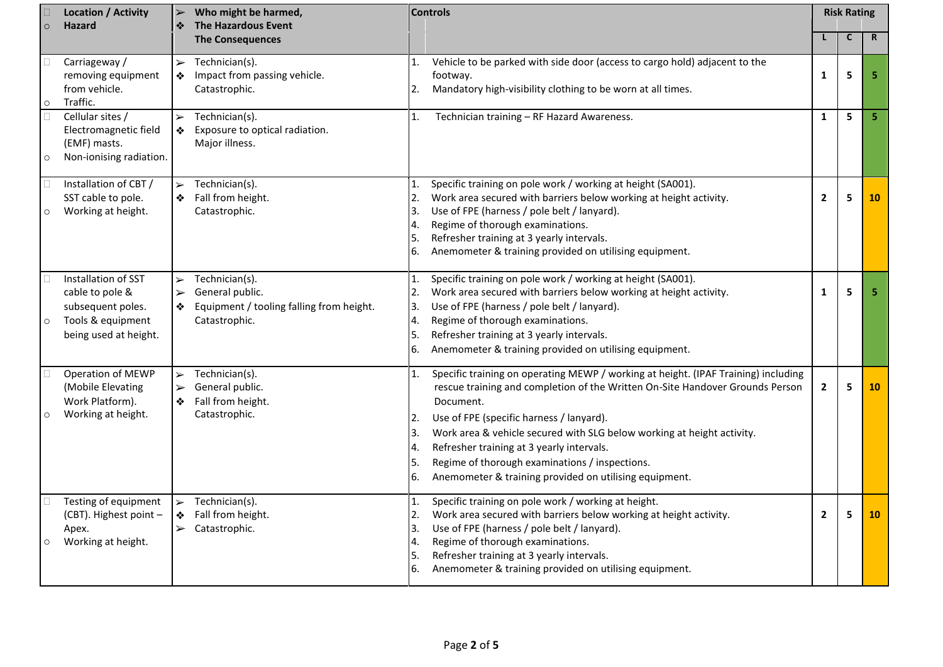|         | <b>Location / Activity</b><br><b>Hazard</b>                                                               | ❖                                                   | Who might be harmed,<br><b>The Hazardous Event</b>                                             | <b>Controls</b>                               |                                                                                                                                                                                                                                                                                                                                                                                                                                                                 | <b>Risk Rating</b>      |              |             |
|---------|-----------------------------------------------------------------------------------------------------------|-----------------------------------------------------|------------------------------------------------------------------------------------------------|-----------------------------------------------|-----------------------------------------------------------------------------------------------------------------------------------------------------------------------------------------------------------------------------------------------------------------------------------------------------------------------------------------------------------------------------------------------------------------------------------------------------------------|-------------------------|--------------|-------------|
|         |                                                                                                           |                                                     | <b>The Consequences</b>                                                                        |                                               |                                                                                                                                                                                                                                                                                                                                                                                                                                                                 |                         | $\mathsf{C}$ | $\mathbf R$ |
| $\circ$ | Carriageway /<br>removing equipment<br>from vehicle.<br>Traffic.                                          | $\blacktriangleright$<br>❖                          | Technician(s).<br>Impact from passing vehicle.<br>Catastrophic.                                | $\mathbf{1}$ .<br>2.                          | Vehicle to be parked with side door (access to cargo hold) adjacent to the<br>footway.<br>Mandatory high-visibility clothing to be worn at all times.                                                                                                                                                                                                                                                                                                           | $\mathbf{1}$            | 5            | 5           |
| $\circ$ | Cellular sites /<br>Electromagnetic field<br>(EMF) masts.<br>Non-ionising radiation.                      | $\blacktriangleright$<br>❖                          | Technician(s).<br>Exposure to optical radiation.<br>Major illness.                             | 1.                                            | Technician training - RF Hazard Awareness.                                                                                                                                                                                                                                                                                                                                                                                                                      | $\mathbf{1}$            | 5            | 5           |
| $\circ$ | Installation of CBT /<br>SST cable to pole.<br>Working at height.                                         |                                                     | $\triangleright$ Technician(s).<br>❖ Fall from height.<br>Catastrophic.                        | (1,<br>2.<br>3.<br>4.<br>5.<br>6.             | Specific training on pole work / working at height (SA001).<br>Work area secured with barriers below working at height activity.<br>Use of FPE (harness / pole belt / lanyard).<br>Regime of thorough examinations.<br>Refresher training at 3 yearly intervals.<br>Anemometer & training provided on utilising equipment.                                                                                                                                      | $\overline{\mathbf{2}}$ | 5            | 10          |
| $\circ$ | Installation of SST<br>cable to pole &<br>subsequent poles.<br>Tools & equipment<br>being used at height. | $\blacktriangleright$<br>$\blacktriangleright$<br>❖ | Technician(s).<br>General public.<br>Equipment / tooling falling from height.<br>Catastrophic. | 1.<br>2.<br>3.<br>4.<br>5.<br>6.              | Specific training on pole work / working at height (SA001).<br>Work area secured with barriers below working at height activity.<br>Use of FPE (harness / pole belt / lanyard).<br>Regime of thorough examinations.<br>Refresher training at 3 yearly intervals.<br>Anemometer & training provided on utilising equipment.                                                                                                                                      | $\mathbf{1}$            | 5            | 5           |
| $\circ$ | Operation of MEWP<br>(Mobile Elevating<br>Work Platform).<br>Working at height.                           | $\blacktriangleright$<br>$\blacktriangleright$<br>❖ | Technician(s).<br>General public.<br>Fall from height.<br>Catastrophic.                        | 1.<br>2.<br>I3.<br>4.<br>۱5.<br>6.            | Specific training on operating MEWP / working at height. (IPAF Training) including<br>rescue training and completion of the Written On-Site Handover Grounds Person<br>Document.<br>Use of FPE (specific harness / lanyard).<br>Work area & vehicle secured with SLG below working at height activity.<br>Refresher training at 3 yearly intervals.<br>Regime of thorough examinations / inspections.<br>Anemometer & training provided on utilising equipment. | $\mathbf{2}$            | 5            | <b>10</b>   |
| $\circ$ | Testing of equipment<br>(CBT). Highest point -<br>Apex.<br>Working at height.                             | $\blacktriangleright$<br>❖                          | Technician(s).<br>Fall from height.<br>$\triangleright$ Catastrophic.                          | $\mathbf{1}$ .<br>2.<br>3.<br>4.<br>5.<br>I6. | Specific training on pole work / working at height.<br>Work area secured with barriers below working at height activity.<br>Use of FPE (harness / pole belt / lanyard).<br>Regime of thorough examinations.<br>Refresher training at 3 yearly intervals.<br>Anemometer & training provided on utilising equipment.                                                                                                                                              | $\mathbf{2}$            | 5            | 10          |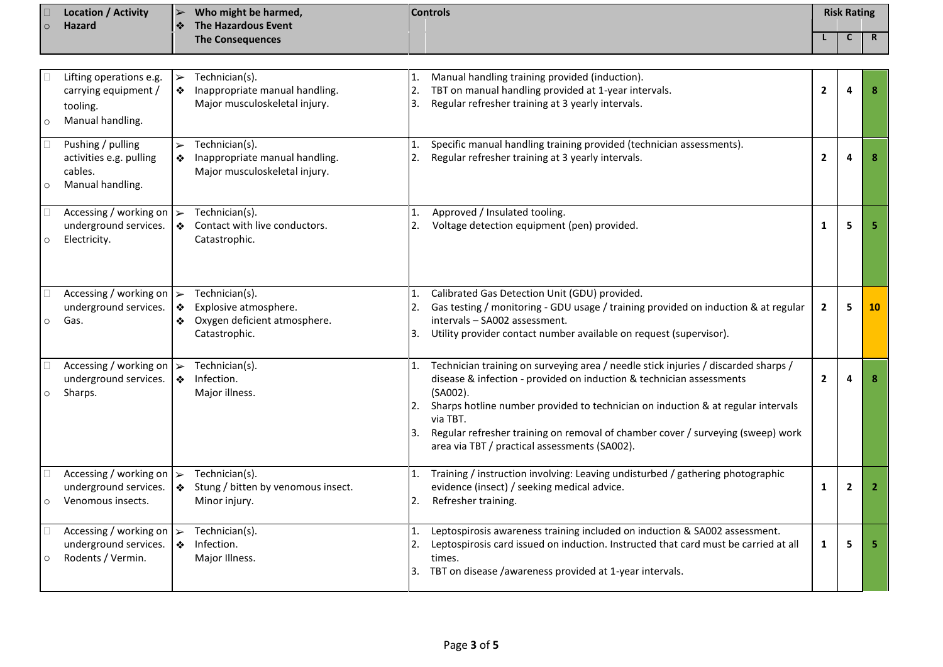|         | <b>Location / Activity</b><br>Hazard                                                  | $\blacktriangleright$<br>❖ | Who might be harmed,<br><b>The Hazardous Event</b>                                       | <b>Controls</b> |                                                                                                                                                                                                                                                                                                                                                                                                            |                | <b>Risk Rating</b> |              |
|---------|---------------------------------------------------------------------------------------|----------------------------|------------------------------------------------------------------------------------------|-----------------|------------------------------------------------------------------------------------------------------------------------------------------------------------------------------------------------------------------------------------------------------------------------------------------------------------------------------------------------------------------------------------------------------------|----------------|--------------------|--------------|
|         |                                                                                       |                            | <b>The Consequences</b>                                                                  |                 |                                                                                                                                                                                                                                                                                                                                                                                                            |                | C                  | $\mathsf{R}$ |
|         |                                                                                       |                            |                                                                                          |                 |                                                                                                                                                                                                                                                                                                                                                                                                            |                |                    |              |
| $\circ$ | Lifting operations e.g.<br>carrying equipment /<br>tooling.<br>Manual handling.       | $\blacktriangleright$<br>❖ | Technician(s).<br>Inappropriate manual handling.<br>Major musculoskeletal injury.        | 2.<br>3.        | Manual handling training provided (induction).<br>TBT on manual handling provided at 1-year intervals.<br>Regular refresher training at 3 yearly intervals.                                                                                                                                                                                                                                                | $\overline{2}$ | Δ                  |              |
| $\circ$ | Pushing / pulling<br>activities e.g. pulling<br>cables.<br>Manual handling.           | $\blacktriangleright$<br>❖ | Technician(s).<br>Inappropriate manual handling.<br>Major musculoskeletal injury.        | 1.<br>2.        | Specific manual handling training provided (technician assessments).<br>Regular refresher training at 3 yearly intervals.                                                                                                                                                                                                                                                                                  | $\mathbf{2}$   | 4                  | 8            |
| $\circ$ | Accessing / working on $\triangleright$<br>underground services.<br>Electricity.      | 上交                         | Technician(s).<br>Contact with live conductors.<br>Catastrophic.                         | 1.<br>2.        | Approved / Insulated tooling.<br>Voltage detection equipment (pen) provided.                                                                                                                                                                                                                                                                                                                               | $\mathbf{1}$   | 5                  | 5            |
| $\circ$ | Accessing / working on $\triangleright$<br>underground services.<br>Gas.              | ❖<br>❖                     | Technician(s).<br>Explosive atmosphere.<br>Oxygen deficient atmosphere.<br>Catastrophic. | 1.<br>2.<br>3.  | Calibrated Gas Detection Unit (GDU) provided.<br>Gas testing / monitoring - GDU usage / training provided on induction & at regular<br>intervals - SA002 assessment.<br>Utility provider contact number available on request (supervisor).                                                                                                                                                                 | $\mathbf{2}$   | 5                  | 10           |
| $\circ$ | Accessing / working on<br>underground services.<br>Sharps.                            | $\blacktriangleright$<br>❖ | Technician(s).<br>Infection.<br>Major illness.                                           | 1.<br>2.<br>Β.  | Technician training on surveying area / needle stick injuries / discarded sharps /<br>disease & infection - provided on induction & technician assessments<br>(SA002).<br>Sharps hotline number provided to technician on induction & at regular intervals<br>via TBT.<br>Regular refresher training on removal of chamber cover / surveying (sweep) work<br>area via TBT / practical assessments (SA002). | $\mathbf{2}$   |                    |              |
|         | Accessing / working on $\triangleright$<br>underground services.<br>Venomous insects. |                            | Technician(s).<br>$\}$ Stung / bitten by venomous insect.<br>Minor injury.               | 1.<br>2.        | Training / instruction involving: Leaving undisturbed / gathering photographic<br>evidence (insect) / seeking medical advice.<br>Refresher training.                                                                                                                                                                                                                                                       | 1              | $\mathbf{2}$       | 2            |
| $\circ$ | Accessing / working on $\triangleright$<br>underground services.<br>Rodents / Vermin. |                            | Technician(s).<br>Infection.<br>Major Illness.                                           | 2.<br>3.        | Leptospirosis awareness training included on induction & SA002 assessment.<br>Leptospirosis card issued on induction. Instructed that card must be carried at all<br>times.<br>TBT on disease /awareness provided at 1-year intervals.                                                                                                                                                                     | $\mathbf{1}$   | 5                  | 5            |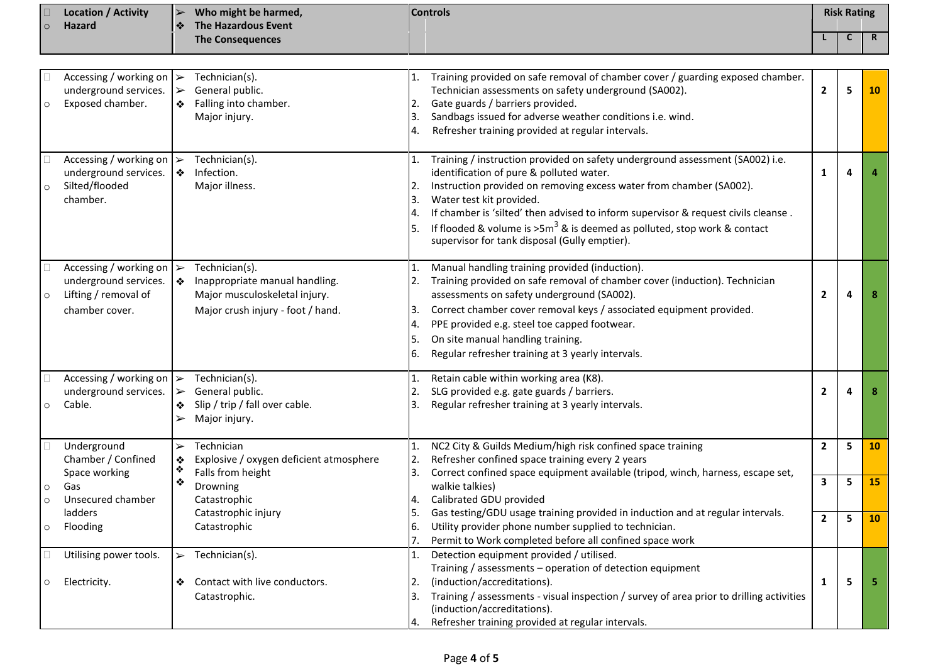| $\circ$            | <b>Location / Activity</b><br><b>Hazard</b>                                                                | <b>Controls</b><br>Who might be harmed,<br>$\blacktriangleright$<br><b>The Hazardous Event</b><br>❖ |                                                                                                                        |                            |                                                                                                                                                                                                                                                                                                                                                                                                                                                    | <b>Risk Rating</b> |   |             |
|--------------------|------------------------------------------------------------------------------------------------------------|-----------------------------------------------------------------------------------------------------|------------------------------------------------------------------------------------------------------------------------|----------------------------|----------------------------------------------------------------------------------------------------------------------------------------------------------------------------------------------------------------------------------------------------------------------------------------------------------------------------------------------------------------------------------------------------------------------------------------------------|--------------------|---|-------------|
|                    |                                                                                                            |                                                                                                     | <b>The Consequences</b>                                                                                                |                            |                                                                                                                                                                                                                                                                                                                                                                                                                                                    |                    | C | $\mathbf R$ |
| $\circ$            | Accessing / working on $\triangleright$<br>underground services.<br>Exposed chamber.                       | $\blacktriangleright$<br>❖                                                                          | Technician(s).<br>General public.<br>Falling into chamber.<br>Major injury.                                            | 2.<br>3.                   | Training provided on safe removal of chamber cover / guarding exposed chamber.<br>Technician assessments on safety underground (SA002).<br>Gate guards / barriers provided.<br>Sandbags issued for adverse weather conditions i.e. wind.<br>Refresher training provided at regular intervals.                                                                                                                                                      | $\overline{2}$     | 5 | <b>10</b>   |
| $\circ$            | Accessing / working on $\rightarrow$<br>underground services.<br>Silted/flooded<br>chamber.                | ❖                                                                                                   | Technician(s).<br>Infection.<br>Major illness.                                                                         | 2.<br>3.<br>5.             | Training / instruction provided on safety underground assessment (SA002) i.e.<br>identification of pure & polluted water.<br>Instruction provided on removing excess water from chamber (SA002).<br>Water test kit provided.<br>If chamber is 'silted' then advised to inform supervisor & request civils cleanse.<br>If flooded & volume is $>5m^3$ & is deemed as polluted, stop work & contact<br>supervisor for tank disposal (Gully emptier). | 1                  | 4 |             |
| $\circ$            | Accessing / working on $\triangleright$<br>underground services.<br>Lifting / removal of<br>chamber cover. | ❖                                                                                                   | Technician(s).<br>Inappropriate manual handling.<br>Major musculoskeletal injury.<br>Major crush injury - foot / hand. | 2.<br>3.<br>4.<br>5.<br>6. | Manual handling training provided (induction).<br>Training provided on safe removal of chamber cover (induction). Technician<br>assessments on safety underground (SA002).<br>Correct chamber cover removal keys / associated equipment provided.<br>PPE provided e.g. steel toe capped footwear.<br>On site manual handling training.<br>Regular refresher training at 3 yearly intervals.                                                        | $\overline{2}$     | 4 | 8           |
| $\circ$            | Accessing / working on $\rightarrow$<br>underground services.<br>Cable.                                    | $\ge$<br>❖<br>$\blacktriangleright$                                                                 | Technician(s).<br>General public.<br>Slip / trip / fall over cable.<br>Major injury.                                   | 2.<br>3.                   | Retain cable within working area (K8).<br>SLG provided e.g. gate guards / barriers.<br>Regular refresher training at 3 yearly intervals.                                                                                                                                                                                                                                                                                                           | $\overline{2}$     | 4 | 8           |
|                    | Underground<br>Chamber / Confined                                                                          | $\blacktriangleright$<br>❖                                                                          | Technician<br>Explosive / oxygen deficient atmosphere                                                                  | 1.<br>2.                   | NC2 City & Guilds Medium/high risk confined space training<br>Refresher confined space training every 2 years                                                                                                                                                                                                                                                                                                                                      | $\overline{2}$     | 5 | 10          |
| $\circ$<br>$\circ$ | Space working<br>Gas<br>Unsecured chamber                                                                  | ❖<br>❖                                                                                              | Falls from height<br>Drowning<br>Catastrophic                                                                          | 3.<br>4.                   | Correct confined space equipment available (tripod, winch, harness, escape set,<br>walkie talkies)<br>Calibrated GDU provided                                                                                                                                                                                                                                                                                                                      | 3                  | 5 | <b>15</b>   |
| $\circ$            | ladders<br>Flooding                                                                                        |                                                                                                     | Catastrophic injury<br>Catastrophic                                                                                    | 5.<br>6.<br>7.             | Gas testing/GDU usage training provided in induction and at regular intervals.<br>Utility provider phone number supplied to technician.<br>Permit to Work completed before all confined space work                                                                                                                                                                                                                                                 | $\overline{2}$     | 5 | <b>10</b>   |
| $\circ$            | Utilising power tools.<br>Electricity.                                                                     | ❖                                                                                                   | $\triangleright$ Technician(s).<br>Contact with live conductors.<br>Catastrophic.                                      | 3.<br>4.                   | Detection equipment provided / utilised.<br>Training / assessments - operation of detection equipment<br>(induction/accreditations).<br>Training / assessments - visual inspection / survey of area prior to drilling activities<br>(induction/accreditations).<br>Refresher training provided at regular intervals.                                                                                                                               | 1                  | 5 | -5          |